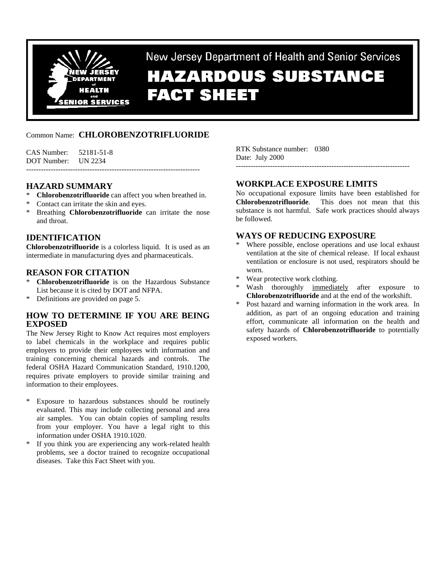

New Jersey Department of Health and Senior Services **HAZARDOUS SUBSTANCE** 

**FACT SHEET** 

# Common Name: **CHLOROBENZOTRIFLUORIDE**

CAS Number: 52181-51-8 DOT Number: UN 2234 -----------------------------------------------------------------------

# **HAZARD SUMMARY**

- \* **Chlorobenzotrifluoride** can affect you when breathed in.
- Contact can irritate the skin and eyes.
- \* Breathing **Chlorobenzotrifluoride** can irritate the nose and throat.

# **IDENTIFICATION**

**Chlorobenzotrifluoride** is a colorless liquid. It is used as an intermediate in manufacturing dyes and pharmaceuticals.

# **REASON FOR CITATION**

- **Chlorobenzotrifluoride** is on the Hazardous Substance List because it is cited by DOT and NFPA.
- Definitions are provided on page 5.

### **HOW TO DETERMINE IF YOU ARE BEING EXPOSED**

The New Jersey Right to Know Act requires most employers to label chemicals in the workplace and requires public employers to provide their employees with information and training concerning chemical hazards and controls. The federal OSHA Hazard Communication Standard, 1910.1200, requires private employers to provide similar training and information to their employees.

- \* Exposure to hazardous substances should be routinely evaluated. This may include collecting personal and area air samples. You can obtain copies of sampling results from your employer. You have a legal right to this information under OSHA 1910.1020.
- If you think you are experiencing any work-related health problems, see a doctor trained to recognize occupational diseases. Take this Fact Sheet with you.

RTK Substance number: 0380 Date: July 2000

# **WORKPLACE EXPOSURE LIMITS**

No occupational exposure limits have been established for **Chlorobenzotrifluoride**. This does not mean that this substance is not harmful. Safe work practices should always be followed.

-----------------------------------------------------------------------

# **WAYS OF REDUCING EXPOSURE**

- Where possible, enclose operations and use local exhaust ventilation at the site of chemical release. If local exhaust ventilation or enclosure is not used, respirators should be worn.
- Wear protective work clothing.
- Wash thoroughly immediately after exposure to **Chlorobenzotrifluoride** and at the end of the workshift.
- \* Post hazard and warning information in the work area. In addition, as part of an ongoing education and training effort, communicate all information on the health and safety hazards of **Chlorobenzotrifluoride** to potentially exposed workers.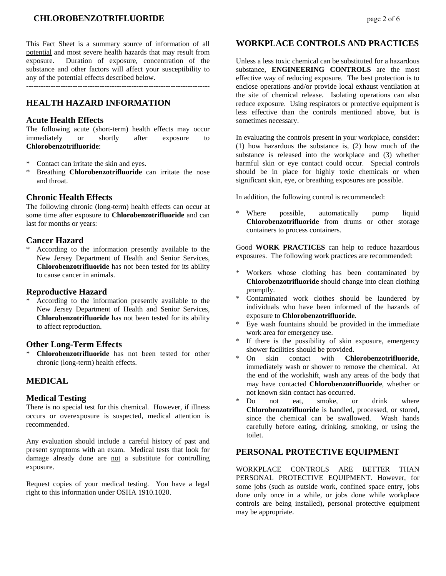# **CHLOROBENZOTRIFLUORIDE** page 2 of 6

This Fact Sheet is a summary source of information of all potential and most severe health hazards that may result from exposure. Duration of exposure, concentration of the substance and other factors will affect your susceptibility to any of the potential effects described below.

---------------------------------------------------------------------------

# **HEALTH HAZARD INFORMATION**

#### **Acute Health Effects**

The following acute (short-term) health effects may occur immediately or shortly after exposure to **Chlorobenzotrifluoride**:

- \* Contact can irritate the skin and eyes.
- Breathing **Chlorobenzotrifluoride** can irritate the nose and throat.

#### **Chronic Health Effects**

The following chronic (long-term) health effects can occur at some time after exposure to **Chlorobenzotrifluoride** and can last for months or years:

#### **Cancer Hazard**

\* According to the information presently available to the New Jersey Department of Health and Senior Services, **Chlorobenzotrifluoride** has not been tested for its ability to cause cancer in animals.

#### **Reproductive Hazard**

According to the information presently available to the New Jersey Department of Health and Senior Services, **Chlorobenzotrifluoride** has not been tested for its ability to affect reproduction.

#### **Other Long-Term Effects**

**Chlorobenzotrifluoride** has not been tested for other chronic (long-term) health effects.

# **MEDICAL**

#### **Medical Testing**

There is no special test for this chemical. However, if illness occurs or overexposure is suspected, medical attention is recommended.

Any evaluation should include a careful history of past and present symptoms with an exam. Medical tests that look for damage already done are not a substitute for controlling exposure.

Request copies of your medical testing. You have a legal right to this information under OSHA 1910.1020.

#### **WORKPLACE CONTROLS AND PRACTICES**

Unless a less toxic chemical can be substituted for a hazardous substance, **ENGINEERING CONTROLS** are the most effective way of reducing exposure. The best protection is to enclose operations and/or provide local exhaust ventilation at the site of chemical release. Isolating operations can also reduce exposure. Using respirators or protective equipment is less effective than the controls mentioned above, but is sometimes necessary.

In evaluating the controls present in your workplace, consider: (1) how hazardous the substance is, (2) how much of the substance is released into the workplace and (3) whether harmful skin or eye contact could occur. Special controls should be in place for highly toxic chemicals or when significant skin, eye, or breathing exposures are possible.

In addition, the following control is recommended:

Where possible, automatically pump liquid **Chlorobenzotrifluoride** from drums or other storage containers to process containers.

Good **WORK PRACTICES** can help to reduce hazardous exposures. The following work practices are recommended:

- \* Workers whose clothing has been contaminated by **Chlorobenzotrifluoride** should change into clean clothing promptly.
- Contaminated work clothes should be laundered by individuals who have been informed of the hazards of exposure to **Chlorobenzotrifluoride**.
- Eye wash fountains should be provided in the immediate work area for emergency use.
- If there is the possibility of skin exposure, emergency shower facilities should be provided.
- \* On skin contact with **Chlorobenzotrifluoride**, immediately wash or shower to remove the chemical. At the end of the workshift, wash any areas of the body that may have contacted **Chlorobenzotrifluoride**, whether or not known skin contact has occurred.
- \* Do not eat, smoke, or drink where **Chlorobenzotrifluoride** is handled, processed, or stored, since the chemical can be swallowed. Wash hands carefully before eating, drinking, smoking, or using the toilet.

# **PERSONAL PROTECTIVE EQUIPMENT**

WORKPLACE CONTROLS ARE BETTER THAN PERSONAL PROTECTIVE EQUIPMENT. However, for some jobs (such as outside work, confined space entry, jobs done only once in a while, or jobs done while workplace controls are being installed), personal protective equipment may be appropriate.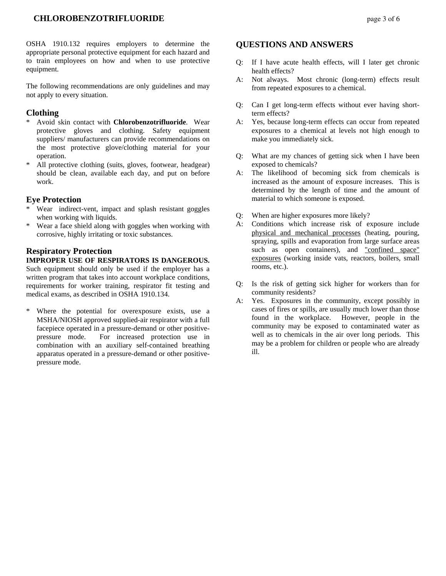OSHA 1910.132 requires employers to determine the appropriate personal protective equipment for each hazard and to train employees on how and when to use protective equipment.

The following recommendations are only guidelines and may not apply to every situation.

#### **Clothing**

- \* Avoid skin contact with **Chlorobenzotrifluoride**. Wear protective gloves and clothing. Safety equipment suppliers/ manufacturers can provide recommendations on the most protective glove/clothing material for your operation.
- \* All protective clothing (suits, gloves, footwear, headgear) should be clean, available each day, and put on before work.

#### **Eye Protection**

- Wear indirect-vent, impact and splash resistant goggles when working with liquids.
- \* Wear a face shield along with goggles when working with corrosive, highly irritating or toxic substances.

# **Respiratory Protection**

### **IMPROPER USE OF RESPIRATORS IS DANGEROUS.**

Such equipment should only be used if the employer has a written program that takes into account workplace conditions, requirements for worker training, respirator fit testing and medical exams, as described in OSHA 1910.134.

\* Where the potential for overexposure exists, use a MSHA/NIOSH approved supplied-air respirator with a full facepiece operated in a pressure-demand or other positivepressure mode. For increased protection use in combination with an auxiliary self-contained breathing apparatus operated in a pressure-demand or other positivepressure mode.

### **QUESTIONS AND ANSWERS**

- Q: If I have acute health effects, will I later get chronic health effects?
- A: Not always. Most chronic (long-term) effects result from repeated exposures to a chemical.
- Q: Can I get long-term effects without ever having shortterm effects?
- A: Yes, because long-term effects can occur from repeated exposures to a chemical at levels not high enough to make you immediately sick.
- Q: What are my chances of getting sick when I have been exposed to chemicals?
- A: The likelihood of becoming sick from chemicals is increased as the amount of exposure increases. This is determined by the length of time and the amount of material to which someone is exposed.
- Q: When are higher exposures more likely?
- A: Conditions which increase risk of exposure include physical and mechanical processes (heating, pouring, spraying, spills and evaporation from large surface areas such as open containers), and "confined space" exposures (working inside vats, reactors, boilers, small rooms, etc.).
- Q: Is the risk of getting sick higher for workers than for community residents?
- A: Yes. Exposures in the community, except possibly in cases of fires or spills, are usually much lower than those found in the workplace. However, people in the community may be exposed to contaminated water as well as to chemicals in the air over long periods. This may be a problem for children or people who are already ill.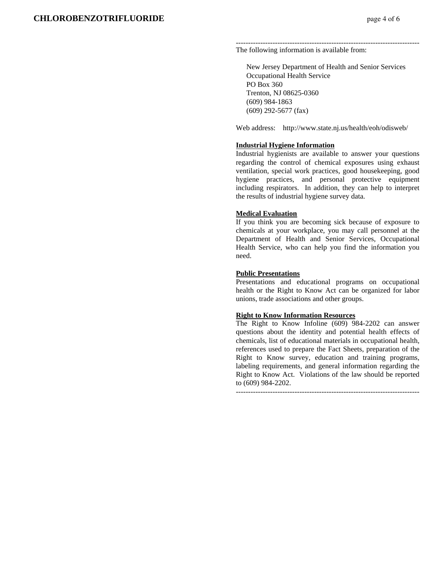--------------------------------------------------------------------------- The following information is available from:

 New Jersey Department of Health and Senior Services Occupational Health Service PO Box 360 Trenton, NJ 08625-0360 (609) 984-1863 (609) 292-5677 (fax)

Web address: http://www.state.nj.us/health/eoh/odisweb/

#### **Industrial Hygiene Information**

Industrial hygienists are available to answer your questions regarding the control of chemical exposures using exhaust ventilation, special work practices, good housekeeping, good hygiene practices, and personal protective equipment including respirators. In addition, they can help to interpret the results of industrial hygiene survey data.

#### **Medical Evaluation**

If you think you are becoming sick because of exposure to chemicals at your workplace, you may call personnel at the Department of Health and Senior Services, Occupational Health Service, who can help you find the information you need.

#### **Public Presentations**

Presentations and educational programs on occupational health or the Right to Know Act can be organized for labor unions, trade associations and other groups.

#### **Right to Know Information Resources**

The Right to Know Infoline (609) 984-2202 can answer questions about the identity and potential health effects of chemicals, list of educational materials in occupational health, references used to prepare the Fact Sheets, preparation of the Right to Know survey, education and training programs, labeling requirements, and general information regarding the Right to Know Act. Violations of the law should be reported to (609) 984-2202.

---------------------------------------------------------------------------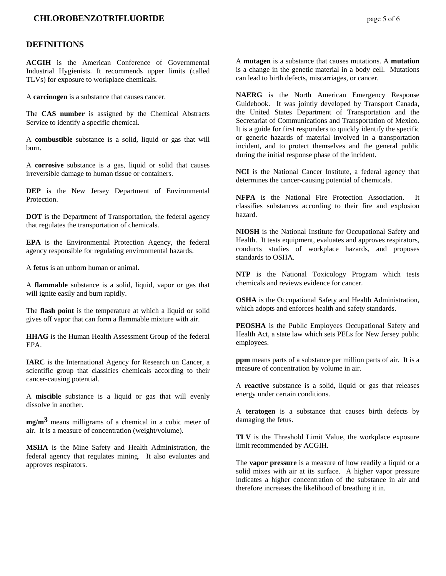#### **CHLOROBENZOTRIFLUORIDE** *page 5 of 6*

#### **DEFINITIONS**

**ACGIH** is the American Conference of Governmental Industrial Hygienists. It recommends upper limits (called TLVs) for exposure to workplace chemicals.

A **carcinogen** is a substance that causes cancer.

The **CAS number** is assigned by the Chemical Abstracts Service to identify a specific chemical.

A **combustible** substance is a solid, liquid or gas that will burn.

A **corrosive** substance is a gas, liquid or solid that causes irreversible damage to human tissue or containers.

**DEP** is the New Jersey Department of Environmental Protection.

**DOT** is the Department of Transportation, the federal agency that regulates the transportation of chemicals.

**EPA** is the Environmental Protection Agency, the federal agency responsible for regulating environmental hazards.

A **fetus** is an unborn human or animal.

A **flammable** substance is a solid, liquid, vapor or gas that will ignite easily and burn rapidly.

The **flash point** is the temperature at which a liquid or solid gives off vapor that can form a flammable mixture with air.

**HHAG** is the Human Health Assessment Group of the federal EPA.

**IARC** is the International Agency for Research on Cancer, a scientific group that classifies chemicals according to their cancer-causing potential.

A **miscible** substance is a liquid or gas that will evenly dissolve in another.

**mg/m3** means milligrams of a chemical in a cubic meter of air. It is a measure of concentration (weight/volume).

**MSHA** is the Mine Safety and Health Administration, the federal agency that regulates mining. It also evaluates and approves respirators.

A **mutagen** is a substance that causes mutations. A **mutation** is a change in the genetic material in a body cell. Mutations can lead to birth defects, miscarriages, or cancer.

**NAERG** is the North American Emergency Response Guidebook. It was jointly developed by Transport Canada, the United States Department of Transportation and the Secretariat of Communications and Transportation of Mexico. It is a guide for first responders to quickly identify the specific or generic hazards of material involved in a transportation incident, and to protect themselves and the general public during the initial response phase of the incident.

**NCI** is the National Cancer Institute, a federal agency that determines the cancer-causing potential of chemicals.

**NFPA** is the National Fire Protection Association. It classifies substances according to their fire and explosion hazard.

**NIOSH** is the National Institute for Occupational Safety and Health. It tests equipment, evaluates and approves respirators, conducts studies of workplace hazards, and proposes standards to OSHA.

**NTP** is the National Toxicology Program which tests chemicals and reviews evidence for cancer.

**OSHA** is the Occupational Safety and Health Administration, which adopts and enforces health and safety standards.

**PEOSHA** is the Public Employees Occupational Safety and Health Act, a state law which sets PELs for New Jersey public employees.

**ppm** means parts of a substance per million parts of air. It is a measure of concentration by volume in air.

A **reactive** substance is a solid, liquid or gas that releases energy under certain conditions.

A **teratogen** is a substance that causes birth defects by damaging the fetus.

**TLV** is the Threshold Limit Value, the workplace exposure limit recommended by ACGIH.

The **vapor pressure** is a measure of how readily a liquid or a solid mixes with air at its surface. A higher vapor pressure indicates a higher concentration of the substance in air and therefore increases the likelihood of breathing it in.